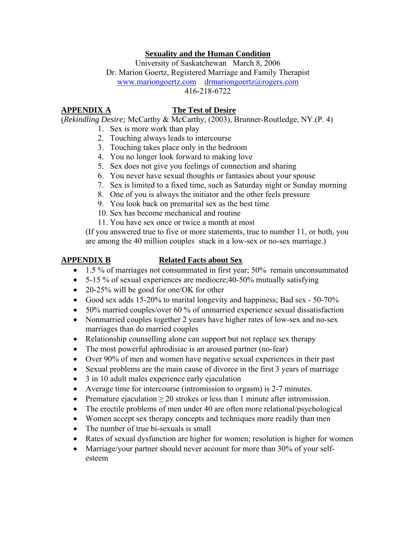# **Sexuality and the Human Condition**

University of Saskatchewan March 8, 2006 Dr. Marion Goertz, Registered Marriage and Family Therapist [www.mariongoertz.com](http://www.mariongoertz.com/) [drmariongoertz@rogers.com](mailto:drmariongoertz@rogers.com)  416-218-6722

# **APPENDIX A The Test of Desire**

(*Rekindling Desire;* McCarthy & McCarthy, (2003), Brunner-Routledge, NY.(P. 4)

- 1. Sex is more work than play
- 2. Touching always leads to intercourse
- 3. Touching takes place only in the bedroom
- 4. You no longer look forward to making love
- 5. Sex does not give you feelings of connection and sharing
- 6. You never have sexual thoughts or fantasies about your spouse
- 7. Sex is limited to a fixed time, such as Saturday night or Sunday morning
- 8. One of you is always the initiator and the other feels pressure
- 9. You look back on premarital sex as the best time
- 10. Sex has become mechanical and routine
- 11. You have sex once or twice a month at most

(If you answered true to five or more statements, true to number 11, or both, you are among the 40 million couples stuck in a low-sex or no-sex marriage.)

## **APPENDIX B Related Facts about Sex**

- 1.5 % of marriages not consummated in first year; 50% remain unconsummated
- 5-15 % of sexual experiences are mediocre; 40-50% mutually satisfying
- 20-25% will be good for one/OK for other
- Good sex adds 15-20% to marital longevity and happiness; Bad sex 50-70%
- 50% married couples/over 60 % of unmarried experience sexual dissatisfaction
- Nonmarried couples together 2 years have higher rates of low-sex and no-sex marriages than do married couples
- Relationship counselling alone can support but not replace sex therapy
- The most powerful aphrodisiac is an aroused partner (no-fear)
- Over 90% of men and women have negative sexual experiences in their past
- Sexual problems are the main cause of divorce in the first 3 years of marriage
- 3 in 10 adult males experience early ejaculation
- Average time for intercourse (intromission to orgasm) is 2-7 minutes.
- Premature ejaculation  $\geq 20$  strokes or less than 1 minute after intromission.
- The erectile problems of men under 40 are often more relational/psychological
- Women accept sex therapy concepts and techniques more readily than men
- The number of true bi-sexuals is small
- Rates of sexual dysfunction are higher for women; resolution is higher for women
- Marriage/your partner should never account for more than 30% of your selfesteem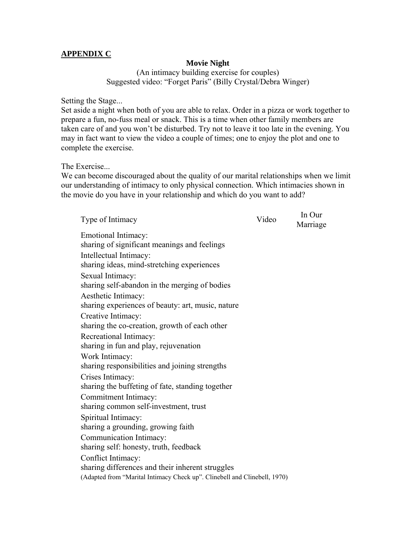## **APPENDIX C**

## **Movie Night**

(An intimacy building exercise for couples) Suggested video: "Forget Paris" (Billy Crystal/Debra Winger)

Setting the Stage...

Set aside a night when both of you are able to relax. Order in a pizza or work together to prepare a fun, no-fuss meal or snack. This is a time when other family members are taken care of and you won't be disturbed. Try not to leave it too late in the evening. You may in fact want to view the video a couple of times; one to enjoy the plot and one to complete the exercise.

The Exercise...

We can become discouraged about the quality of our marital relationships when we limit our understanding of intimacy to only physical connection. Which intimacies shown in the movie do you have in your relationship and which do you want to add?

| Type of Intimacy                                                                                                                                    | Video | In Our<br>Marriage |
|-----------------------------------------------------------------------------------------------------------------------------------------------------|-------|--------------------|
| Emotional Intimacy:<br>sharing of significant meanings and feelings<br>Intellectual Intimacy:<br>sharing ideas, mind-stretching experiences         |       |                    |
| Sexual Intimacy:<br>sharing self-abandon in the merging of bodies                                                                                   |       |                    |
| Aesthetic Intimacy:<br>sharing experiences of beauty: art, music, nature                                                                            |       |                    |
| Creative Intimacy:<br>sharing the co-creation, growth of each other                                                                                 |       |                    |
| Recreational Intimacy:<br>sharing in fun and play, rejuvenation                                                                                     |       |                    |
| Work Intimacy:<br>sharing responsibilities and joining strengths                                                                                    |       |                    |
| Crises Intimacy:<br>sharing the buffeting of fate, standing together                                                                                |       |                    |
| Commitment Intimacy:<br>sharing common self-investment, trust                                                                                       |       |                    |
| Spiritual Intimacy:<br>sharing a grounding, growing faith                                                                                           |       |                    |
| Communication Intimacy:<br>sharing self: honesty, truth, feedback                                                                                   |       |                    |
| Conflict Intimacy:<br>sharing differences and their inherent struggles<br>(Adapted from "Marital Intimacy Check up". Clinebell and Clinebell, 1970) |       |                    |
|                                                                                                                                                     |       |                    |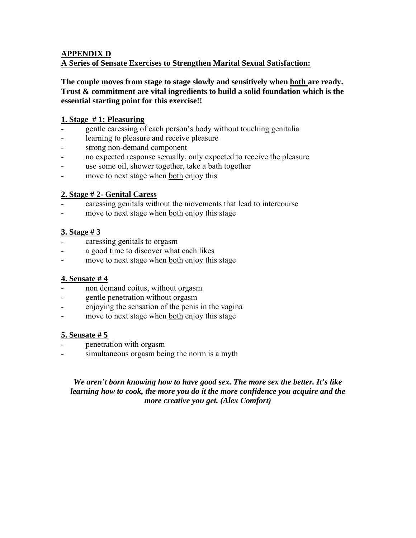## **APPENDIX D A Series of Sensate Exercises to Strengthen Marital Sexual Satisfaction:**

**The couple moves from stage to stage slowly and sensitively when both are ready. Trust & commitment are vital ingredients to build a solid foundation which is the essential starting point for this exercise!!**

# **1. Stage # 1: Pleasuring**

- gentle caressing of each person's body without touching genitalia
- learning to pleasure and receive pleasure
- strong non-demand component
- no expected response sexually, only expected to receive the pleasure
- use some oil, shower together, take a bath together
- move to next stage when both enjoy this

# **2. Stage # 2- Genital Caress**

- caressing genitals without the movements that lead to intercourse
- move to next stage when both enjoy this stage

# **3. Stage # 3**

- caressing genitals to orgasm
- a good time to discover what each likes
- move to next stage when both enjoy this stage

# **4. Sensate # 4**

- non demand coitus, without orgasm
- gentle penetration without orgasm
- enjoying the sensation of the penis in the vagina
- move to next stage when both enjoy this stage

# **5. Sensate # 5**

- penetration with orgasm
- simultaneous orgasm being the norm is a myth

# *We aren't born knowing how to have good sex. The more sex the better. It's like learning how to cook, the more you do it the more confidence you acquire and the more creative you get. (Alex Comfort)*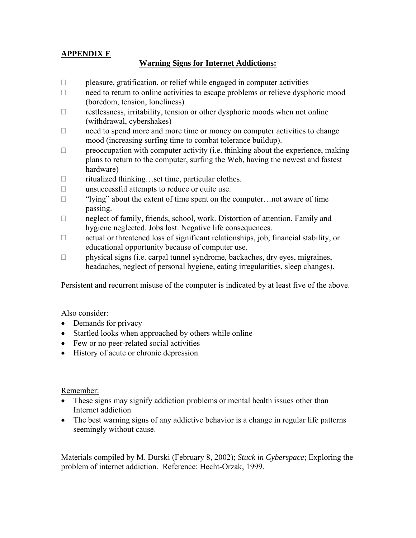# **APPENDIX E**

# **Warning Signs for Internet Addictions:**

- $\Box$  pleasure, gratification, or relief while engaged in computer activities
- $\Box$  need to return to online activities to escape problems or relieve dysphoric mood (boredom, tension, loneliness)
- restlessness, irritability, tension or other dysphoric moods when not online (withdrawal, cybershakes)
- $\Box$  need to spend more and more time or money on computer activities to change mood (increasing surfing time to combat tolerance buildup).
- $\Box$  preoccupation with computer activity (i.e. thinking about the experience, making plans to return to the computer, surfing the Web, having the newest and fastest hardware)
- □ ritualized thinking…set time, particular clothes.
- $\Box$  unsuccessful attempts to reduce or quite use.
- $\Box$  "Iving" about the extent of time spent on the computer... not aware of time passing.
- neglect of family, friends, school, work. Distortion of attention. Family and hygiene neglected. Jobs lost. Negative life consequences.
- $\Box$  actual or threatened loss of significant relationships, job, financial stability, or educational opportunity because of computer use.
- $\Box$  physical signs (i.e. carpal tunnel syndrome, backaches, dry eyes, migraines, headaches, neglect of personal hygiene, eating irregularities, sleep changes).

Persistent and recurrent misuse of the computer is indicated by at least five of the above.

## Also consider:

- Demands for privacy
- Startled looks when approached by others while online
- Few or no peer-related social activities
- History of acute or chronic depression

## Remember:

- These signs may signify addiction problems or mental health issues other than Internet addiction
- The best warning signs of any addictive behavior is a change in regular life patterns seemingly without cause.

Materials compiled by M. Durski (February 8, 2002); *Stuck in Cyberspace*; Exploring the problem of internet addiction. Reference: Hecht-Orzak, 1999.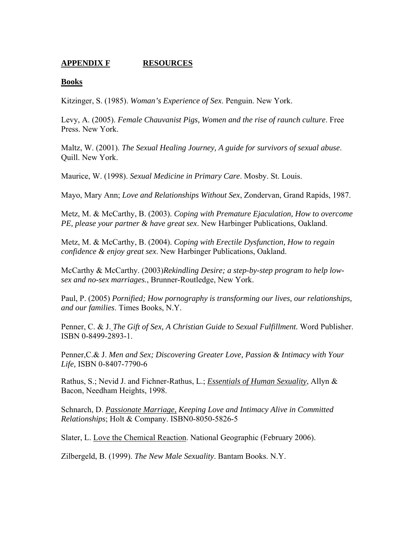# **APPENDIX F RESOURCES**

## **Books**

Kitzinger, S. (1985). *Woman's Experience of Sex*. Penguin. New York.

Levy, A. (2005). *Female Chauvanist Pigs, Women and the rise of raunch culture*. Free Press. New York.

Maltz, W. (2001). *The Sexual Healing Journey, A guide for survivors of sexual abuse*. Quill. New York.

Maurice, W. (1998). *Sexual Medicine in Primary Care*. Mosby. St. Louis.

Mayo, Mary Ann; *Love and Relationships Without Sex*, Zondervan, Grand Rapids, 1987.

Metz, M. & McCarthy, B. (2003). *Coping with Premature Ejaculation, How to overcome PE, please your partner & have great sex*. New Harbinger Publications, Oakland.

Metz, M. & McCarthy, B. (2004). *Coping with Erectile Dysfunction, How to regain confidence & enjoy great sex*. New Harbinger Publications, Oakland.

McCarthy & McCarthy. (2003)*Rekindling Desire; a step-by-step program to help lowsex and no-sex marriages.*, Brunner-Routledge, New York.

Paul, P. (2005) *Pornified; How pornography is transforming our lives, our relationships, and our families*. Times Books, N.Y.

Penner, C. & J. *The Gift of Sex, A Christian Guide to Sexual Fulfillment.* Word Publisher. ISBN 0-8499-2893-1.

Penner,C.& J. *Men and Sex; Discovering Greater Love, Passion & Intimacy with Your Life,* ISBN 0-8407-7790-6

Rathus, S.; Nevid J. and Fichner-Rathus, L.; *Essentials of Human Sexuality*, Allyn & Bacon, Needham Heights, 1998.

Schnarch, D. *Passionate Marriage, Keeping Love and Intimacy Alive in Committed Relationships*; Holt & Company. ISBN0-8050-5826-5

Slater, L. Love the Chemical Reaction. National Geographic (February 2006).

Zilbergeld, B. (1999). *The New Male Sexuality*. Bantam Books. N.Y.